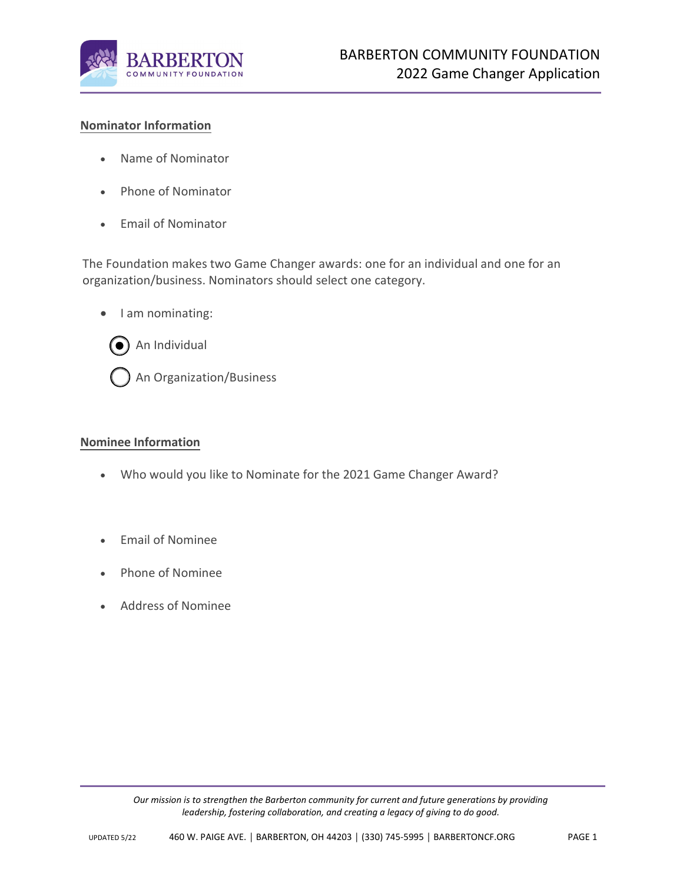

# **Nominator Information**

- Name of Nominator
- Phone of Nominator
- Email of Nominator

The Foundation makes two Game Changer awards: one for an individual and one for an organization/business. Nominators should select one category.

• I am nominating:



### **Nominee Information**

- Who would you like to Nominate for the 2021 Game Changer Award?
- Email of Nominee
- Phone of Nominee
- Address of Nominee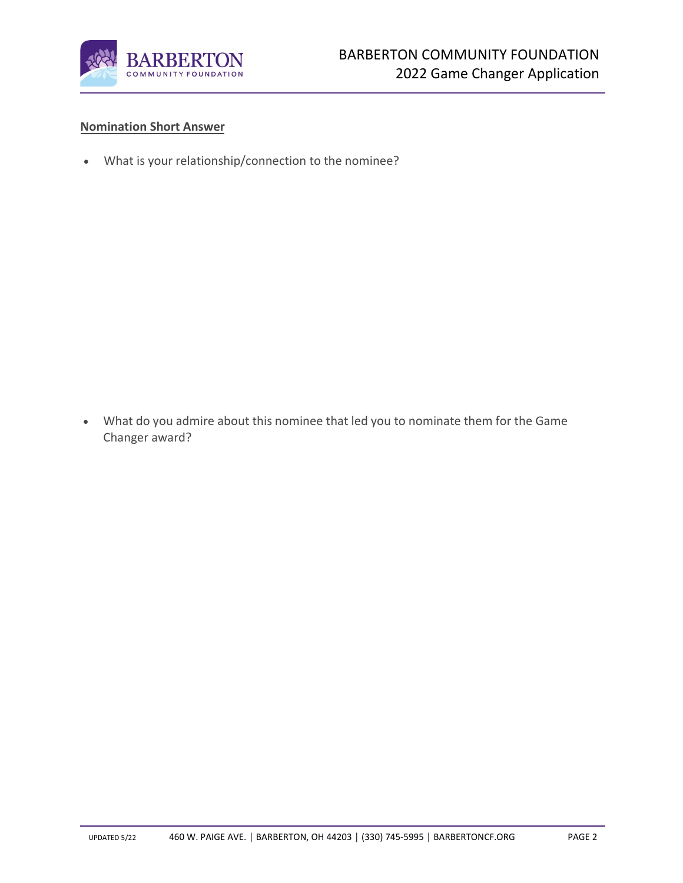

## **Nomination Short Answer**

• What is your relationship/connection to the nominee?

• What do you admire about this nominee that led you to nominate them for the Game Changer award?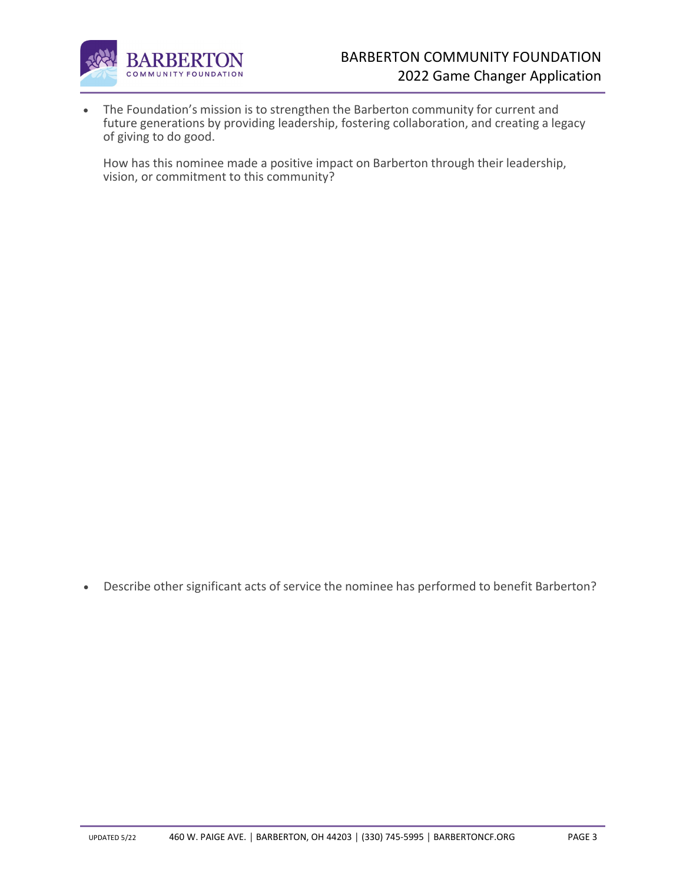

• The Foundation's mission is to strengthen the Barberton community for current and future generations by providing leadership, fostering collaboration, and creating a legacy of giving to do good.

How has this nominee made a positive impact on Barberton through their leadership, vision, or commitment to this community?

• Describe other significant acts of service the nominee has performed to benefit Barberton?